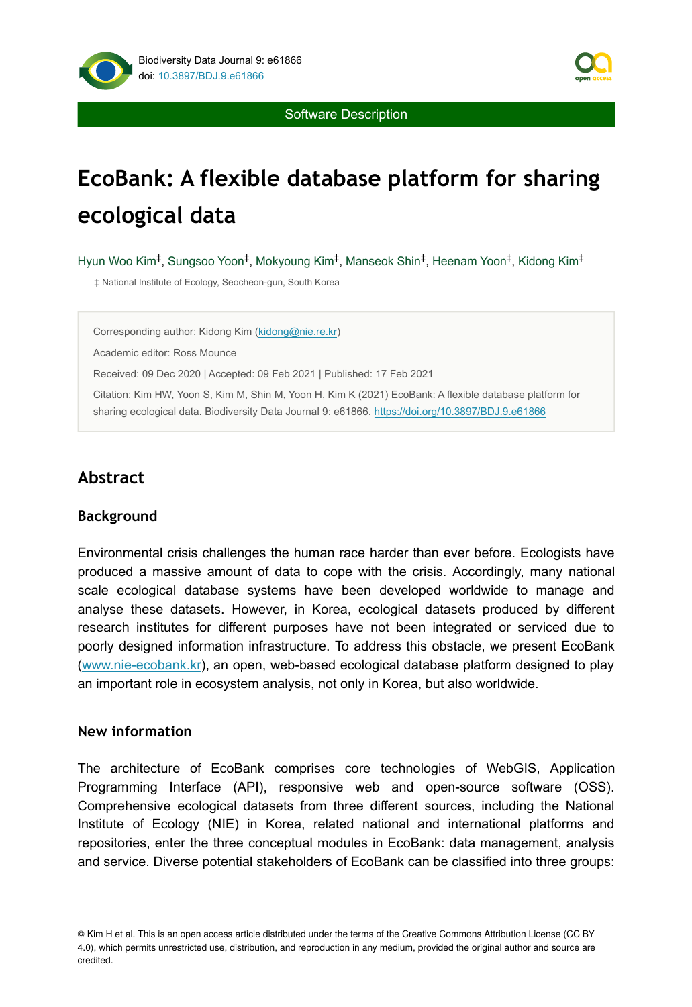

Software Description

# **EcoBank: A flexible database platform for sharing ecological data**

Hyun Woo Kim<sup>‡</sup>, Sungsoo Yoon<sup>‡</sup>, Mokyoung Kim<sup>‡</sup>, Manseok Shin<sup>‡</sup>, Heenam Yoon<sup>‡</sup>, Kidong Kim<sup>‡</sup>

‡ National Institute of Ecology, Seocheon-gun, South Korea

Corresponding author: Kidong Kim ([kidong@nie.re.kr\)](mailto:kidong@nie.re.kr)

Academic editor: Ross Mounce

Received: 09 Dec 2020 | Accepted: 09 Feb 2021 | Published: 17 Feb 2021

Citation: Kim HW, Yoon S, Kim M, Shin M, Yoon H, Kim K (2021) EcoBank: A flexible database platform for sharing ecological data. Biodiversity Data Journal 9: e61866. <https://doi.org/10.3897/BDJ.9.e61866>

# **Abstract**

### **Background**

Environmental crisis challenges the human race harder than ever before. Ecologists have produced a massive amount of data to cope with the crisis. Accordingly, many national scale ecological database systems have been developed worldwide to manage and analyse these datasets. However, in Korea, ecological datasets produced by different research institutes for different purposes have not been integrated or serviced due to poorly designed information infrastructure. To address this obstacle, we present EcoBank [\(www.nie-ecobank.kr\)](http://www.nie-ecobank.kr), an open, web-based ecological database platform designed to play an important role in ecosystem analysis, not only in Korea, but also worldwide.

### **New information**

The architecture of EcoBank comprises core technologies of WebGIS, Application Programming Interface (API), responsive web and open-source software (OSS). Comprehensive ecological datasets from three different sources, including the National Institute of Ecology (NIE) in Korea, related national and international platforms and repositories, enter the three conceptual modules in EcoBank: data management, analysis and service. Diverse potential stakeholders of EcoBank can be classified into three groups:

<sup>©</sup> Kim H et al. This is an open access article distributed under the terms of the Creative Commons Attribution License (CC BY 4.0), which permits unrestricted use, distribution, and reproduction in any medium, provided the original author and source are credited.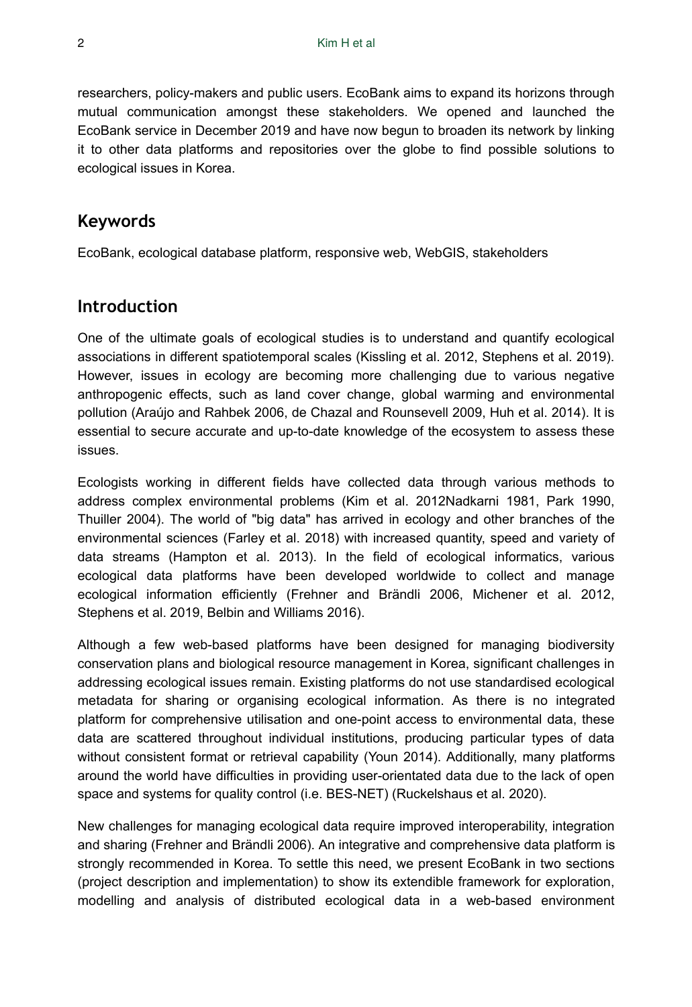researchers, policy-makers and public users. EcoBank aims to expand its horizons through mutual communication amongst these stakeholders. We opened and launched the EcoBank service in December 2019 and have now begun to broaden its network by linking it to other data platforms and repositories over the globe to find possible solutions to ecological issues in Korea.

## **Keywords**

EcoBank, ecological database platform, responsive web, WebGIS, stakeholders

## **Introduction**

One of the ultimate goals of ecological studies is to understand and quantify ecological associations in different spatiotemporal scales (Kissling et al. 2012, Stephens et al. 2019). However, issues in ecology are becoming more challenging due to various negative anthropogenic effects, such as land cover change, global warming and environmental pollution (Araújo and Rahbek 2006, de Chazal and Rounsevell 2009, Huh et al. 2014). It is essential to secure accurate and up-to-date knowledge of the ecosystem to assess these issues.

Ecologists working in different fields have collected data through various methods to address complex environmental problems (Kim et al. 2012Nadkarni 1981, Park 1990, Thuiller 2004). The world of "big data" has arrived in ecology and other branches of the environmental sciences (Farley et al. 2018) with increased quantity, speed and variety of data streams (Hampton et al. 2013). In the field of ecological informatics, various ecological data platforms have been developed worldwide to collect and manage ecological information efficiently (Frehner and Brändli 2006, Michener et al. 2012, Stephens et al. 2019, Belbin and Williams 2016).

Although a few web-based platforms have been designed for managing biodiversity conservation plans and biological resource management in Korea, significant challenges in addressing ecological issues remain. Existing platforms do not use standardised ecological metadata for sharing or organising ecological information. As there is no integrated platform for comprehensive utilisation and one-point access to environmental data, these data are scattered throughout individual institutions, producing particular types of data without consistent format or retrieval capability (Youn 2014). Additionally, many platforms around the world have difficulties in providing user-orientated data due to the lack of open space and systems for quality control (i.e. BES-NET) (Ruckelshaus et al. 2020).

New challenges for managing ecological data require improved interoperability, integration and sharing (Frehner and Brändli 2006). An integrative and comprehensive data platform is strongly recommended in Korea. To settle this need, we present EcoBank in two sections (project description and implementation) to show its extendible framework for exploration, modelling and analysis of distributed ecological data in a web-based environment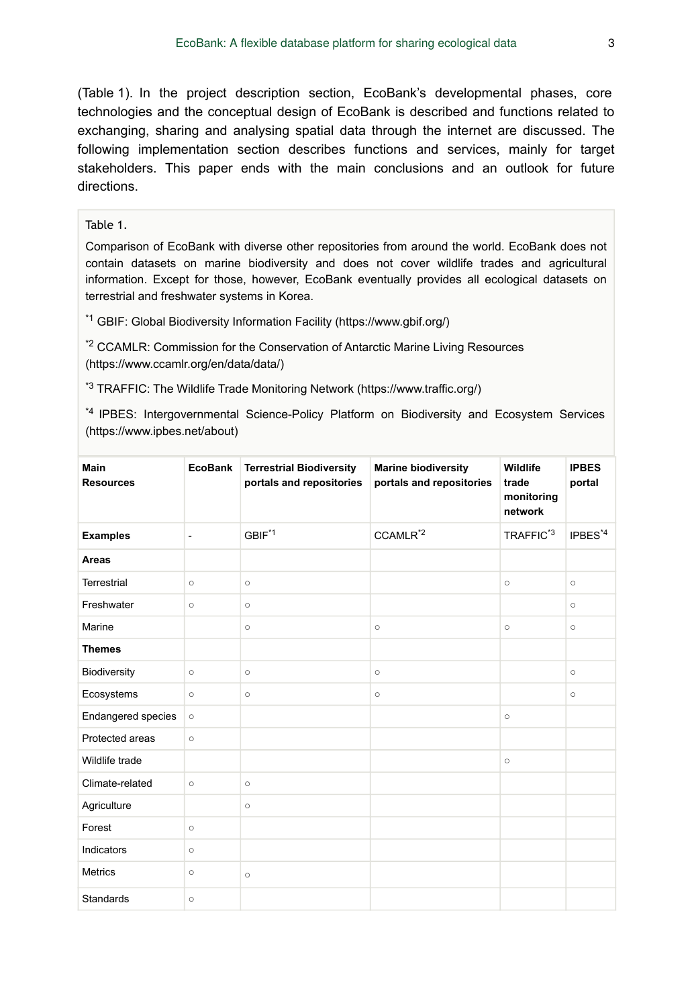(Table 1). In the project description section, EcoBank's developmental phases, core technologies and the conceptual design of EcoBank is described and functions related to exchanging, sharing and analysing spatial data through the internet are discussed. The following implementation section describes functions and services, mainly for target stakeholders. This paper ends with the main conclusions and an outlook for future directions.

#### Table 1.

Comparison of EcoBank with diverse other repositories from around the world. EcoBank does not contain datasets on marine biodiversity and does not cover wildlife trades and agricultural information. Except for those, however, EcoBank eventually provides all ecological datasets on terrestrial and freshwater systems in Korea.

<sup>\*1</sup> GBIF: Global Biodiversity Information Facility (https://www.gbif.org/)

 $*$ <sup>2</sup> CCAMLR: Commission for the Conservation of Antarctic Marine Living Resources (https://www.ccamlr.org/en/data/data/)

<sup>\*3</sup> TRAFFIC: The Wildlife Trade Monitoring Network (https://www.traffic.org/)

<sup>\*4</sup> IPBES: Intergovernmental Science-Policy Platform on Biodiversity and Ecosystem Services (https://www.ipbes.net/about)

| Main<br><b>Resources</b>          | <b>EcoBank</b> | <b>Terrestrial Biodiversity</b><br>portals and repositories | <b>Marine biodiversity</b><br>portals and repositories | Wildlife<br>trade<br>monitoring<br>network | <b>IPBES</b><br>portal |
|-----------------------------------|----------------|-------------------------------------------------------------|--------------------------------------------------------|--------------------------------------------|------------------------|
| <b>Examples</b><br>$\overline{a}$ |                | GBIF <sup>*1</sup>                                          | CCAMLR <sup>*2</sup>                                   | TRAFFIC <sup>*3</sup>                      | $IPBES^{*4}$           |
| Areas                             |                |                                                             |                                                        |                                            |                        |
| <b>Terrestrial</b>                | $\circ$        | $\circ$                                                     |                                                        | $\circ$                                    | $\circ$                |
| Freshwater                        | $\circ$        | $\circ$                                                     |                                                        |                                            | $\circ$                |
| Marine                            |                | $\circ$                                                     | $\circ$                                                | $\circ$                                    | $\circ$                |
| <b>Themes</b>                     |                |                                                             |                                                        |                                            |                        |
| Biodiversity                      | $\circ$        | $\circ$                                                     | $\circ$                                                |                                            | $\circ$                |
| Ecosystems                        | $\circ$        | $\circ$                                                     | $\circ$                                                |                                            | $\circ$                |
| <b>Endangered species</b>         | $\circ$        |                                                             |                                                        | $\circ$                                    |                        |
| Protected areas                   | $\circ$        |                                                             |                                                        |                                            |                        |
| Wildlife trade                    |                |                                                             |                                                        | $\circ$                                    |                        |
| Climate-related                   | $\circ$        | $\circ$                                                     |                                                        |                                            |                        |
| Agriculture                       |                | $\circ$                                                     |                                                        |                                            |                        |
| Forest                            | $\circ$        |                                                             |                                                        |                                            |                        |
| Indicators                        | $\circ$        |                                                             |                                                        |                                            |                        |
| <b>Metrics</b>                    | $\circ$        | $\circ$                                                     |                                                        |                                            |                        |
| <b>Standards</b>                  | $\circ$        |                                                             |                                                        |                                            |                        |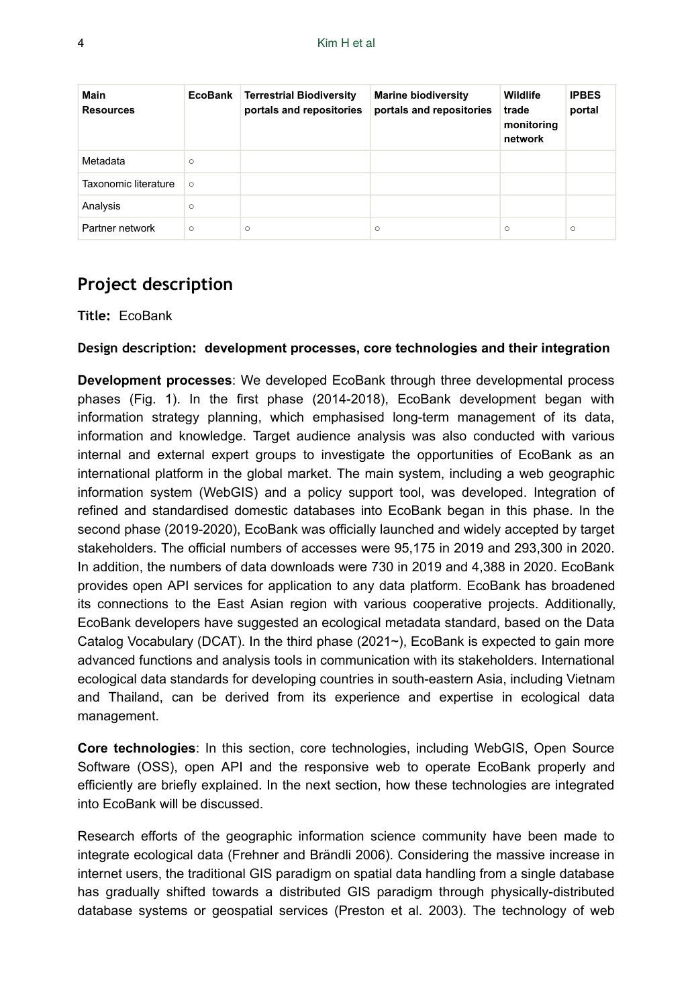| Main<br><b>Resources</b> | EcoBank | <b>Terrestrial Biodiversity</b><br>portals and repositories | <b>Marine biodiversity</b><br>portals and repositories | Wildlife<br>trade<br>monitoring<br>network | <b>IPBES</b><br>portal |
|--------------------------|---------|-------------------------------------------------------------|--------------------------------------------------------|--------------------------------------------|------------------------|
| Metadata                 | $\circ$ |                                                             |                                                        |                                            |                        |
| Taxonomic literature     | $\circ$ |                                                             |                                                        |                                            |                        |
| Analysis                 | $\circ$ |                                                             |                                                        |                                            |                        |
| Partner network          | $\circ$ | $\circ$                                                     | $\circ$                                                | $\circ$                                    | $\circ$                |

# **Project description**

**Title:** EcoBank

**Design description: development processes, core technologies and their integration**

**Development processes**: We developed EcoBank through three developmental process phases (Fig. 1). In the first phase (2014-2018), EcoBank development began with information strategy planning, which emphasised long-term management of its data, information and knowledge. Target audience analysis was also conducted with various internal and external expert groups to investigate the opportunities of EcoBank as an international platform in the global market. The main system, including a web geographic information system (WebGIS) and a policy support tool, was developed. Integration of refined and standardised domestic databases into EcoBank began in this phase. In the second phase (2019-2020), EcoBank was officially launched and widely accepted by target stakeholders. The official numbers of accesses were 95,175 in 2019 and 293,300 in 2020. In addition, the numbers of data downloads were 730 in 2019 and 4,388 in 2020. EcoBank provides open API services for application to any data platform. EcoBank has broadened its connections to the East Asian region with various cooperative projects. Additionally, EcoBank developers have suggested an ecological metadata standard, based on the Data Catalog Vocabulary (DCAT). In the third phase (2021 $\sim$ ), EcoBank is expected to gain more advanced functions and analysis tools in communication with its stakeholders. International ecological data standards for developing countries in south-eastern Asia, including Vietnam and Thailand, can be derived from its experience and expertise in ecological data management.

**Core technologies**: In this section, core technologies, including WebGIS, Open Source Software (OSS), open API and the responsive web to operate EcoBank properly and efficiently are briefly explained. In the next section, how these technologies are integrated into EcoBank will be discussed.

Research efforts of the geographic information science community have been made to integrate ecological data (Frehner and Brändli 2006). Considering the massive increase in internet users, the traditional GIS paradigm on spatial data handling from a single database has gradually shifted towards a distributed GIS paradigm through physically-distributed database systems or geospatial services (Preston et al. 2003). The technology of web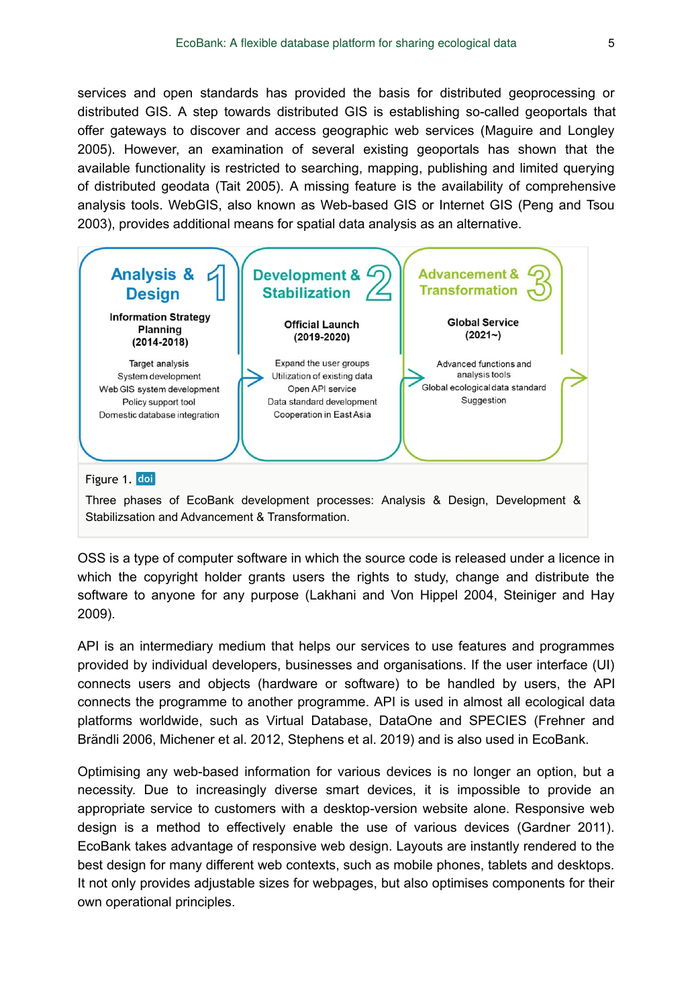services and open standards has provided the basis for distributed geoprocessing or distributed GIS. A step towards distributed GIS is establishing so-called geoportals that offer gateways to discover and access geographic web services (Maguire and Longley 2005). However, an examination of several existing geoportals has shown that the available functionality is restricted to searching, mapping, publishing and limited querying of distributed geodata (Tait 2005). A missing feature is the availability of comprehensive analysis tools. WebGIS, also known as Web-based GIS or Internet GIS (Peng and Tsou 2003), provides additional means for spatial data analysis as an alternative.



OSS is a type of computer software in which the source code is released under a licence in which the copyright holder grants users the rights to study, change and distribute the software to anyone for any purpose (Lakhani and Von Hippel 2004, Steiniger and Hay 2009).

API is an intermediary medium that helps our services to use features and programmes provided by individual developers, businesses and organisations. If the user interface (UI) connects users and objects (hardware or software) to be handled by users, the API connects the programme to another programme. API is used in almost all ecological data platforms worldwide, such as Virtual Database, DataOne and SPECIES (Frehner and Brändli 2006, Michener et al. 2012, Stephens et al. 2019) and is also used in EcoBank.

Optimising any web-based information for various devices is no longer an option, but a necessity. Due to increasingly diverse smart devices, it is impossible to provide an appropriate service to customers with a desktop-version website alone. Responsive web design is a method to effectively enable the use of various devices (Gardner 2011). EcoBank takes advantage of responsive web design. Layouts are instantly rendered to the best design for many different web contexts, such as mobile phones, tablets and desktops. It not only provides adjustable sizes for webpages, but also optimises components for their own operational principles.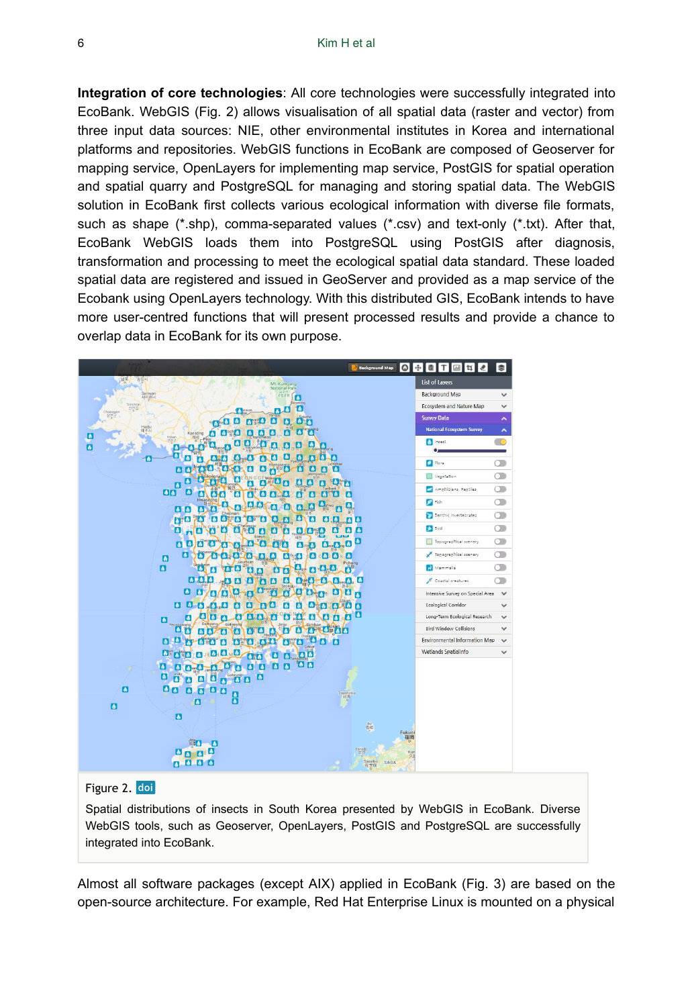**Integration of core technologies**: All core technologies were successfully integrated into EcoBank. WebGIS (Fig. 2) allows visualisation of all spatial data (raster and vector) from three input data sources: NIE, other environmental institutes in Korea and international platforms and repositories. WebGIS functions in EcoBank are composed of Geoserver for mapping service, OpenLayers for implementing map service, PostGIS for spatial operation and spatial quarry and PostgreSQL for managing and storing spatial data. The WebGIS solution in EcoBank first collects various ecological information with diverse file formats, such as shape (\*.shp), comma-separated values (\*.csv) and text-only (\*.txt). After that, EcoBank WebGIS loads them into PostgreSQL using PostGIS after diagnosis, transformation and processing to meet the ecological spatial data standard. These loaded spatial data are registered and issued in GeoServer and provided as a map service of the Ecobank using OpenLayers technology. With this distributed GIS, EcoBank intends to have more user-centred functions that will present processed results and provide a chance to overlap data in EcoBank for its own purpose.

| <b>Background Map</b><br>$\Omega$                                             | $ \cdot $ e   T<br>$\sqrt{1}$<br>l tall | 悲                        |
|-------------------------------------------------------------------------------|-----------------------------------------|--------------------------|
| 송일시<br>Mt Kumga                                                               | <b>List of Layers</b>                   |                          |
| National Park<br>ASS.<br>Sariwon<br>사리윈시<br>$\bullet$                         | <b>Background Map</b>                   | $\checkmark$             |
| Sinchor<br>신천음<br>iŵ                                                          | <b>Ecosystem and Nature Map</b>         | $\checkmark$             |
| <b>Altrid</b><br>Ø<br><b>ANA</b><br>п                                         | <b>Survey Data</b>                      | $\overline{ }$           |
| <b>STA</b><br>$\bullet$ $\bullet$<br>$\bullet$<br>Kaesōng<br>B                | <b>National Ecosystem Survey</b>        | $\overline{\phantom{a}}$ |
| 24<br>88866<br>$\mathbf{a}$                                                   | <b>A</b> Insect                         | n C                      |
| 8 8 8 8 8 8<br>a a l<br>n<br>σ                                                |                                         |                          |
| <b>POPO OCO O</b><br><b>BA 8888</b><br>$A - A$                                | <b>B</b> Flora                          | Œ                        |
| B<br>ló<br><b>ALCO A</b><br><b>A A A B</b>                                    | Vegetation                              | Œ                        |
| $\mathbf{a}$<br>60<br>O<br><b>DOCODE COOP</b><br><b>ANA</b><br>п<br>$\bullet$ | Amphibians, Reptiles                    | 0                        |
| 90000000                                                                      | <b>P</b> Fish                           | o                        |
| $6 - 6$<br>000000000000000<br><b>MO70</b>                                     | <b>Benthic invertebrates</b>            | œ                        |
| <b>NO OO Q OO D O D O D</b><br><b>A</b><br>o<br><b>B</b>                      | <b>Bird</b>                             | $\circ$                  |
| 00000000000000000<br>Δ                                                        | Topographical scenery                   | $\subset$ $\Box$         |
| 8 8 8 8 8 8 8 8 8 8 8 8 8                                                     | Topographical scenery                   | Œ                        |
| п<br>O O O O O O O O O O O<br>$\blacksquare$<br>-61                           | Mammalia                                | OD                       |
| 888 388888888888                                                              | Coastal creatures                       | Œ                        |
| 8 8 8 8 8 8 8 8 8 8 8 8 8 8                                                   | Intensive Survey on Special Area        | $\checkmark$             |
| 0000000000000000                                                              | <b>Ecological Corridor</b>              | $\checkmark$             |
| 000000000000<br>o<br>n                                                        | Long-Term Ecological Research           | $\checkmark$             |
| $\alpha_{\rm{exp}}$<br>00000000000000<br>$6 - 6$                              | <b>Rird Window Collisions</b>           | $\checkmark$             |
| 000000000000000                                                               | <b>Environmental Information Map</b>    | $\checkmark$             |
| <b>BEST BIBLEVE DR B B BB</b>                                                 | Wetlands SpatialInfo                    | $\checkmark$             |
| 800 0 0 0 0 0 0 0 0 0 0<br>o                                                  |                                         |                          |
| 00000000<br>۵                                                                 |                                         |                          |
| $\blacksquare$<br>88888                                                       |                                         |                          |
| $\overline{a}$<br>Tsushima<br>22 高<br>õ<br>A                                  |                                         |                          |
| $\mathbf{a}$                                                                  |                                         |                          |
| $\bullet$<br>$rac{16}{4046}$                                                  |                                         |                          |
| Fukuol<br>福岡                                                                  |                                         |                          |
| Hirado<br>Ku                                                                  |                                         |                          |
| 0nR <sup>2</sup><br>久<br>6000<br>Sasebo<br>SAGA                               |                                         |                          |
|                                                                               |                                         |                          |

#### Figure 2. doi

Spatial distributions of insects in South Korea presented by WebGIS in EcoBank. Diverse WebGIS tools, such as Geoserver, OpenLayers, PostGIS and PostgreSQL are successfully integrated into EcoBank.

Almost all software packages (except AIX) applied in EcoBank (Fig. 3) are based on the open-source architecture. For example, Red Hat Enterprise Linux is mounted on a physical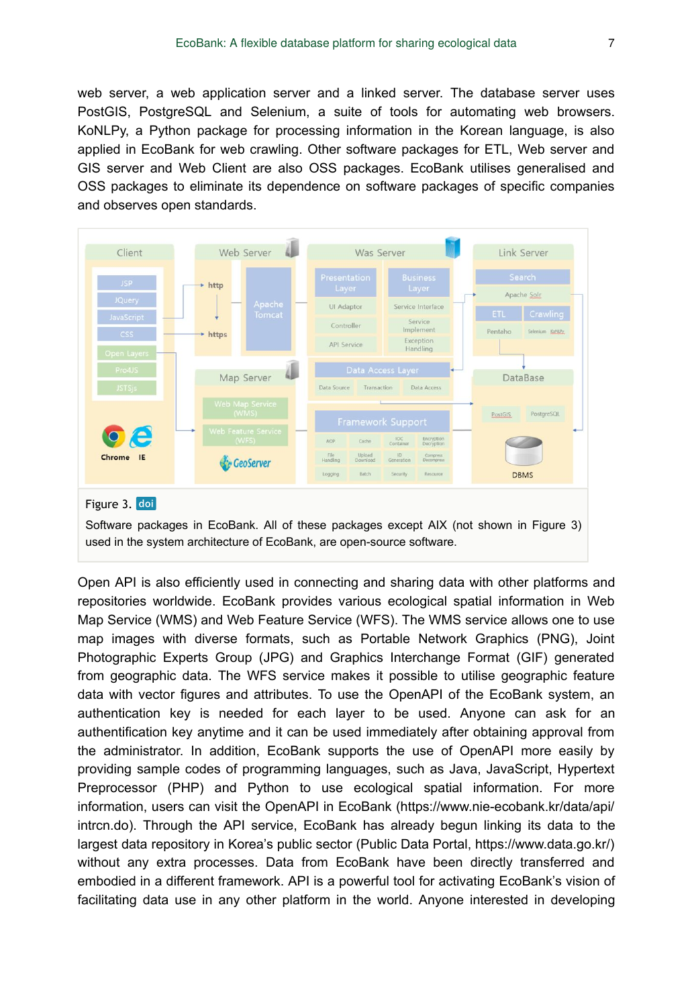web server, a web application server and a linked server. The database server uses PostGIS, PostgreSQL and Selenium, a suite of tools for automating web browsers. KoNLPy, a Python package for processing information in the Korean language, is also applied in EcoBank for web crawling. Other software packages for ETL, Web server and GIS server and Web Client are also OSS packages. EcoBank utilises generalised and OSS packages to eliminate its dependence on software packages of specific companies and observes open standards.



Open API is also efficiently used in connecting and sharing data with other platforms and repositories worldwide. EcoBank provides various ecological spatial information in Web Map Service (WMS) and Web Feature Service (WFS). The WMS service allows one to use map images with diverse formats, such as Portable Network Graphics (PNG), Joint Photographic Experts Group (JPG) and Graphics Interchange Format (GIF) generated from geographic data. The WFS service makes it possible to utilise geographic feature data with vector figures and attributes. To use the OpenAPI of the EcoBank system, an authentication key is needed for each layer to be used. Anyone can ask for an authentification key anytime and it can be used immediately after obtaining approval from the administrator. In addition, EcoBank supports the use of OpenAPI more easily by providing sample codes of programming languages, such as Java, JavaScript, Hypertext Preprocessor (PHP) and Python to use ecological spatial information. For more information, users can visit the OpenAPI in EcoBank (https://www.nie-ecobank.kr/data/api/ intrcn.do). Through the API service, EcoBank has already begun linking its data to the largest data repository in Korea's public sector (Public Data Portal, https://www.data.go.kr/) without any extra processes. Data from EcoBank have been directly transferred and embodied in a different framework. API is a powerful tool for activating EcoBank's vision of facilitating data use in any other platform in the world. Anyone interested in developing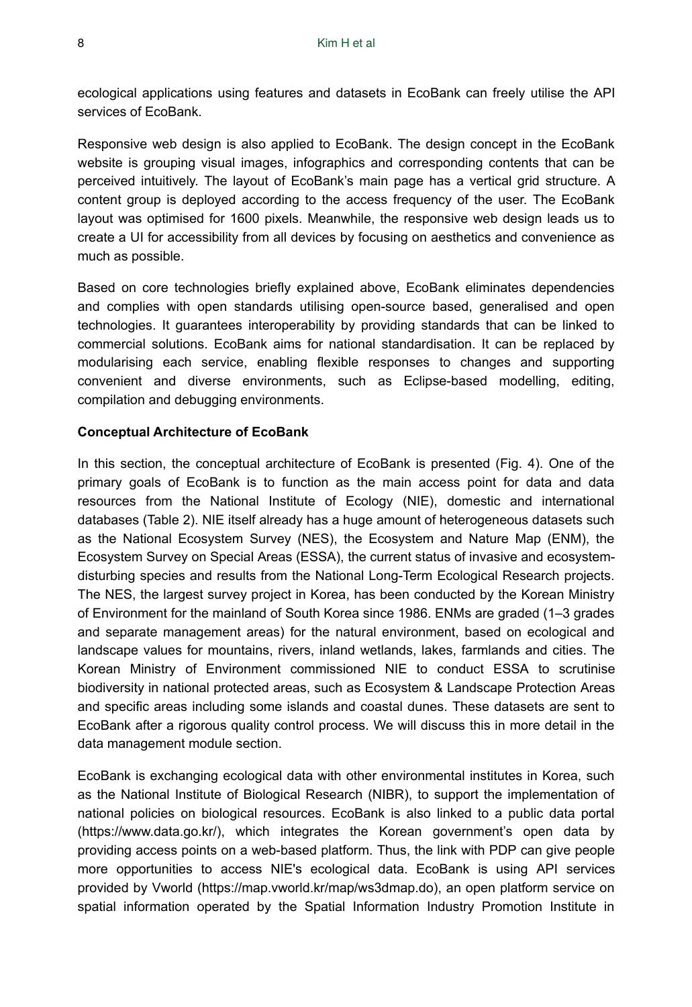ecological applications using features and datasets in EcoBank can freely utilise the API services of EcoBank.

Responsive web design is also applied to EcoBank. The design concept in the EcoBank website is grouping visual images, infographics and corresponding contents that can be perceived intuitively. The layout of EcoBank's main page has a vertical grid structure. A content group is deployed according to the access frequency of the user. The EcoBank layout was optimised for 1600 pixels. Meanwhile, the responsive web design leads us to create a UI for accessibility from all devices by focusing on aesthetics and convenience as much as possible.

Based on core technologies briefly explained above, EcoBank eliminates dependencies and complies with open standards utilising open-source based, generalised and open technologies. It guarantees interoperability by providing standards that can be linked to commercial solutions. EcoBank aims for national standardisation. It can be replaced by modularising each service, enabling flexible responses to changes and supporting convenient and diverse environments, such as Eclipse-based modelling, editing, compilation and debugging environments.

#### **Conceptual Architecture of EcoBank**

In this section, the conceptual architecture of EcoBank is presented (Fig. 4). One of the primary goals of EcoBank is to function as the main access point for data and data resources from the National Institute of Ecology (NIE), domestic and international databases (Table 2). NIE itself already has a huge amount of heterogeneous datasets such as the National Ecosystem Survey (NES), the Ecosystem and Nature Map (ENM), the Ecosystem Survey on Special Areas (ESSA), the current status of invasive and ecosystemdisturbing species and results from the National Long-Term Ecological Research projects. The NES, the largest survey project in Korea, has been conducted by the Korean Ministry of Environment for the mainland of South Korea since 1986. ENMs are graded (1–3 grades and separate management areas) for the natural environment, based on ecological and landscape values for mountains, rivers, inland wetlands, lakes, farmlands and cities. The Korean Ministry of Environment commissioned NIE to conduct ESSA to scrutinise biodiversity in national protected areas, such as Ecosystem & Landscape Protection Areas and specific areas including some islands and coastal dunes. These datasets are sent to EcoBank after a rigorous quality control process. We will discuss this in more detail in the data management module section.

EcoBank is exchanging ecological data with other environmental institutes in Korea, such as the National Institute of Biological Research (NIBR), to support the implementation of national policies on biological resources. EcoBank is also linked to a public data portal (https://www.data.go.kr/), which integrates the Korean government's open data by providing access points on a web-based platform. Thus, the link with PDP can give people more opportunities to access NIE's ecological data. EcoBank is using API services provided by Vworld (https://map.vworld.kr/map/ws3dmap.do), an open platform service on spatial information operated by the Spatial Information Industry Promotion Institute in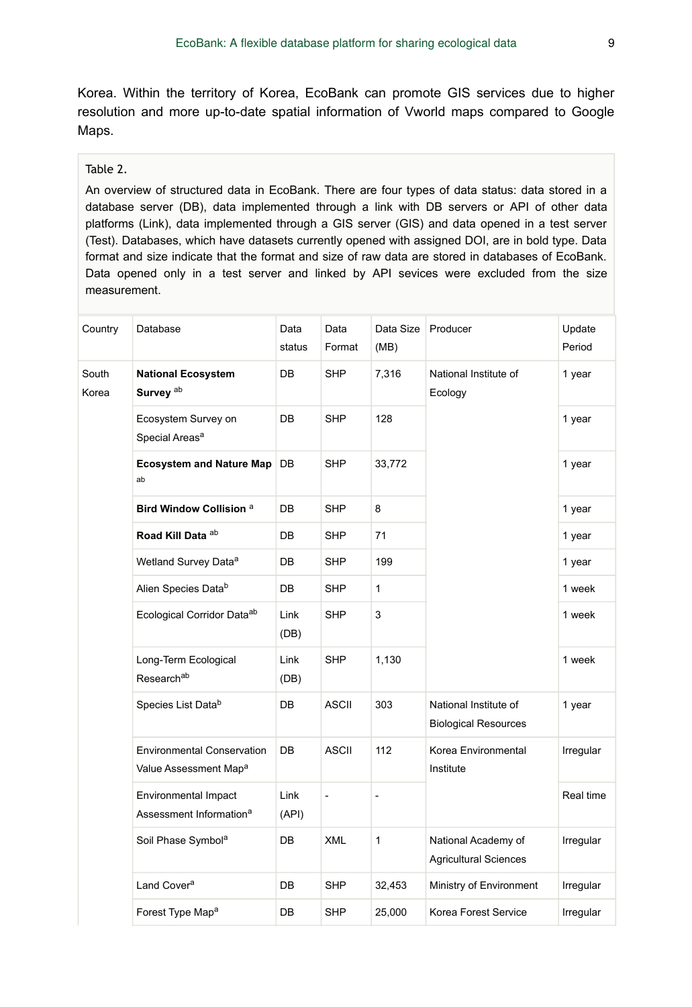Korea. Within the territory of Korea, EcoBank can promote GIS services due to higher resolution and more up-to-date spatial information of Vworld maps compared to Google Maps.

#### Table 2.

An overview of structured data in EcoBank. There are four types of data status: data stored in a database server (DB), data implemented through a link with DB servers or API of other data platforms (Link), data implemented through a GIS server (GIS) and data opened in a test server (Test). Databases, which have datasets currently opened with assigned DOI, are in bold type. Data format and size indicate that the format and size of raw data are stored in databases of EcoBank. Data opened only in a test server and linked by API sevices were excluded from the size measurement.

| Country        | Database                                                               | Data<br>status | Data<br>Format | Data Size<br>(MB) | Producer                                             | Update<br>Period |
|----------------|------------------------------------------------------------------------|----------------|----------------|-------------------|------------------------------------------------------|------------------|
| South<br>Korea | <b>National Ecosystem</b><br>Survey <sup>ab</sup>                      | DB             | <b>SHP</b>     | 7,316             | National Institute of<br>Ecology                     | 1 year           |
|                | Ecosystem Survey on<br>Special Areas <sup>a</sup>                      | DB             | <b>SHP</b>     | 128               |                                                      | 1 year           |
|                | <b>Ecosystem and Nature Map</b><br>ab                                  | DB             | <b>SHP</b>     | 33,772            |                                                      | 1 year           |
|                | Bird Window Collision <sup>a</sup>                                     | DB             | <b>SHP</b>     | 8                 |                                                      | 1 year           |
|                | Road Kill Data ab                                                      | DB             | <b>SHP</b>     | 71                |                                                      | 1 year           |
|                | Wetland Survey Data <sup>a</sup>                                       | DB             | <b>SHP</b>     | 199               |                                                      | 1 year           |
|                | Alien Species Datab                                                    | DB             | <b>SHP</b>     | $\mathbf{1}$      |                                                      | 1 week           |
|                | Ecological Corridor Dataab                                             | Link<br>(DB)   | <b>SHP</b>     | 3                 |                                                      | 1 week           |
|                | Long-Term Ecological<br>Researchab                                     | Link<br>(DB)   | <b>SHP</b>     | 1,130             |                                                      | 1 week           |
|                | Species List Datab                                                     | DB             | <b>ASCII</b>   | 303               | National Institute of<br><b>Biological Resources</b> | 1 year           |
|                | <b>Environmental Conservation</b><br>Value Assessment Map <sup>a</sup> | DB             | <b>ASCII</b>   | 112               | Korea Environmental<br>Institute                     | Irregular        |
|                | Environmental Impact<br>Assessment Information <sup>a</sup>            | Link<br>(API)  | $\blacksquare$ | $\overline{a}$    |                                                      | Real time        |
|                | Soil Phase Symbol <sup>a</sup>                                         | DB             | <b>XML</b>     | $\mathbf{1}$      | National Academy of<br><b>Agricultural Sciences</b>  | Irregular        |
|                | Land Cover <sup>a</sup>                                                | DB             | <b>SHP</b>     | 32,453            | Ministry of Environment                              | Irregular        |
|                | Forest Type Map <sup>a</sup>                                           | DB             | <b>SHP</b>     | 25,000            | Korea Forest Service                                 | Irregular        |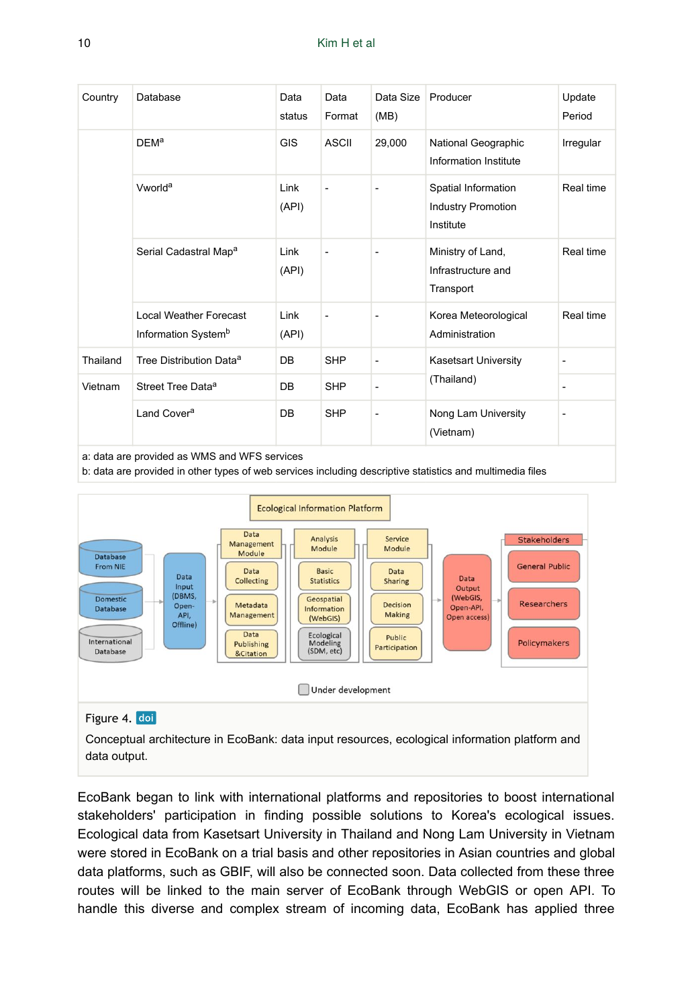| Country  | Database                                                         | Data<br>status | Data<br>Format | Data Size<br>(MB) | Producer                                                      | Update<br>Period |
|----------|------------------------------------------------------------------|----------------|----------------|-------------------|---------------------------------------------------------------|------------------|
|          | <b>DEM<sup>a</sup></b>                                           | <b>GIS</b>     | <b>ASCII</b>   | 29,000            | National Geographic<br>Information Institute                  | Irregular        |
|          | Vworld <sup>a</sup>                                              | Link<br>(API)  | $\overline{a}$ | ٠                 | Spatial Information<br><b>Industry Promotion</b><br>Institute | Real time        |
|          | Serial Cadastral Map <sup>a</sup>                                | Link<br>(API)  | $\overline{a}$ | ٠                 | Ministry of Land,<br>Infrastructure and<br>Transport          | Real time        |
|          | <b>Local Weather Forecast</b><br>Information System <sup>b</sup> | Link<br>(API)  | $\overline{a}$ | ٠                 | Korea Meteorological<br>Administration                        | Real time        |
| Thailand | Tree Distribution Data <sup>a</sup>                              | DB             | <b>SHP</b>     | $\overline{a}$    | <b>Kasetsart University</b>                                   | ٠                |
| Vietnam  | Street Tree Data <sup>a</sup>                                    | DB             | <b>SHP</b>     | ٠                 | (Thailand)                                                    |                  |
|          | Land Cover <sup>a</sup>                                          | DB             | <b>SHP</b>     | $\overline{a}$    | Nong Lam University<br>(Vietnam)                              | ٠                |

a: data are provided as WMS and WFS services

b: data are provided in other types of web services including descriptive statistics and multimedia files



## Figure 4. doi

Conceptual architecture in EcoBank: data input resources, ecological information platform and data output.

EcoBank began to link with international platforms and repositories to boost international stakeholders' participation in finding possible solutions to Korea's ecological issues. Ecological data from Kasetsart University in Thailand and Nong Lam University in Vietnam were stored in EcoBank on a trial basis and other repositories in Asian countries and global data platforms, such as GBIF, will also be connected soon. Data collected from these three routes will be linked to the main server of EcoBank through WebGIS or open API. To handle this diverse and complex stream of incoming data, EcoBank has applied three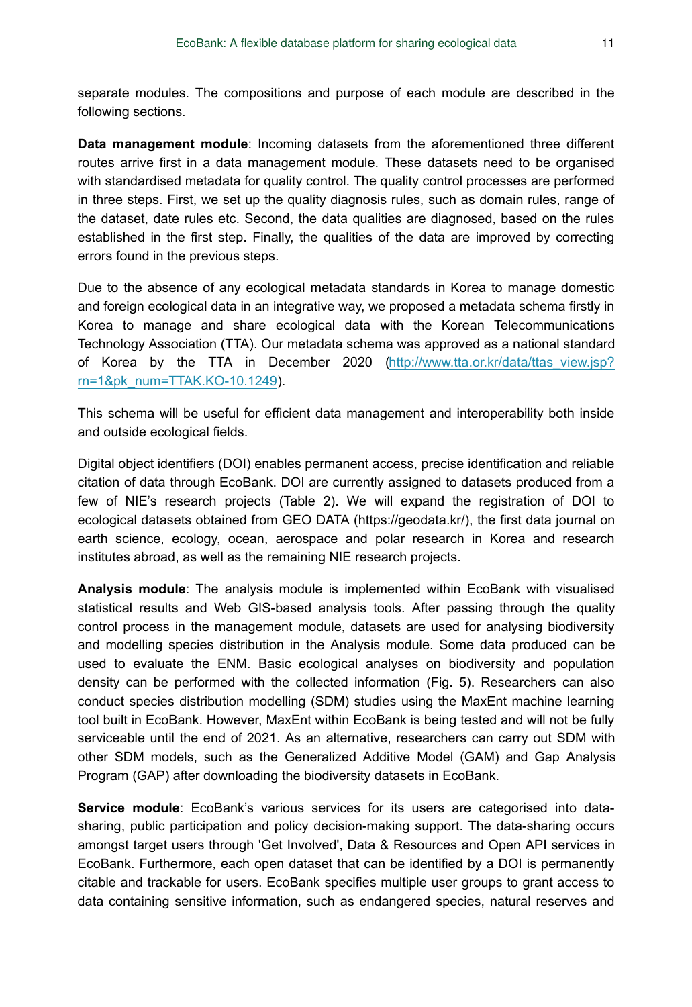separate modules. The compositions and purpose of each module are described in the following sections.

**Data management module**: Incoming datasets from the aforementioned three different routes arrive first in a data management module. These datasets need to be organised with standardised metadata for quality control. The quality control processes are performed in three steps. First, we set up the quality diagnosis rules, such as domain rules, range of the dataset, date rules etc. Second, the data qualities are diagnosed, based on the rules established in the first step. Finally, the qualities of the data are improved by correcting errors found in the previous steps.

Due to the absence of any ecological metadata standards in Korea to manage domestic and foreign ecological data in an integrative way, we proposed a metadata schema firstly in Korea to manage and share ecological data with the Korean Telecommunications Technology Association (TTA). Our metadata schema was approved as a national standard of Korea by the TTA in December 2020 [\(http://www.tta.or.kr/data/ttas\\_view.jsp?](http://www.tta.or.kr/data/ttas_view.jsp?rn=1&pk_num=TTAK.KO-10.1249) [rn=1&pk\\_num=TTAK.KO-10.1249](http://www.tta.or.kr/data/ttas_view.jsp?rn=1&pk_num=TTAK.KO-10.1249)).

This schema will be useful for efficient data management and interoperability both inside and outside ecological fields.

Digital object identifiers (DOI) enables permanent access, precise identification and reliable citation of data through EcoBank. DOI are currently assigned to datasets produced from a few of NIE's research projects (Table 2). We will expand the registration of DOI to ecological datasets obtained from GEO DATA (https://geodata.kr/), the first data journal on earth science, ecology, ocean, aerospace and polar research in Korea and research institutes abroad, as well as the remaining NIE research projects.

**Analysis module**: The analysis module is implemented within EcoBank with visualised statistical results and Web GIS-based analysis tools. After passing through the quality control process in the management module, datasets are used for analysing biodiversity and modelling species distribution in the Analysis module. Some data produced can be used to evaluate the ENM. Basic ecological analyses on biodiversity and population density can be performed with the collected information (Fig. 5). Researchers can also conduct species distribution modelling (SDM) studies using the MaxEnt machine learning tool built in EcoBank. However, MaxEnt within EcoBank is being tested and will not be fully serviceable until the end of 2021. As an alternative, researchers can carry out SDM with other SDM models, such as the Generalized Additive Model (GAM) and Gap Analysis Program (GAP) after downloading the biodiversity datasets in EcoBank.

**Service module**: EcoBank's various services for its users are categorised into datasharing, public participation and policy decision-making support. The data-sharing occurs amongst target users through 'Get Involved', Data & Resources and Open API services in EcoBank. Furthermore, each open dataset that can be identified by a DOI is permanently citable and trackable for users. EcoBank specifies multiple user groups to grant access to data containing sensitive information, such as endangered species, natural reserves and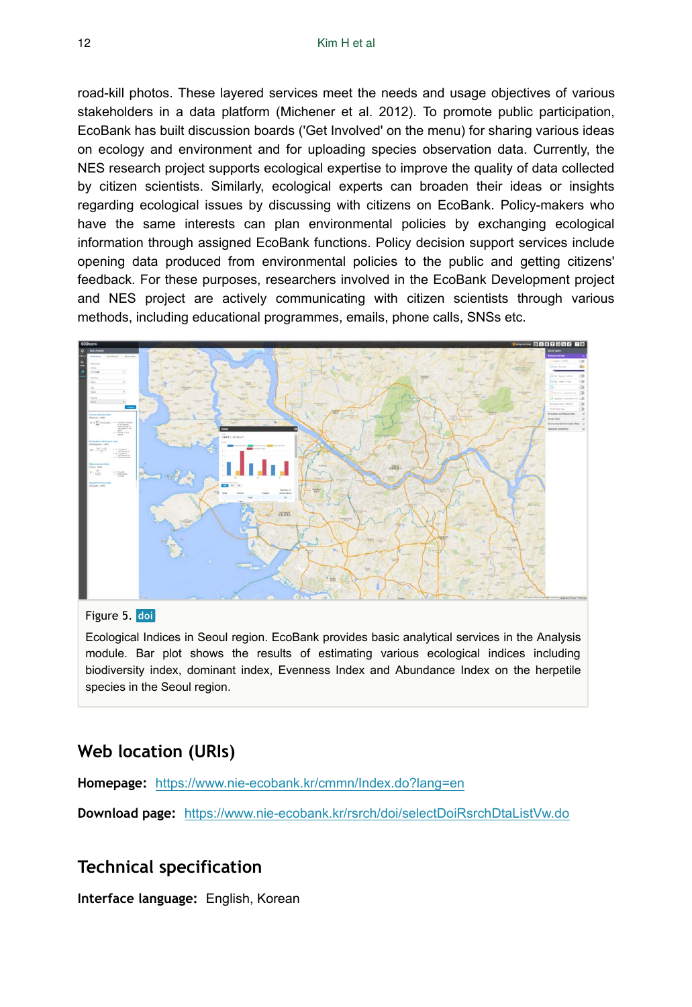road-kill photos. These layered services meet the needs and usage objectives of various stakeholders in a data platform (Michener et al. 2012). To promote public participation, EcoBank has built discussion boards ('Get Involved' on the menu) for sharing various ideas on ecology and environment and for uploading species observation data. Currently, the NES research project supports ecological expertise to improve the quality of data collected by citizen scientists. Similarly, ecological experts can broaden their ideas or insights regarding ecological issues by discussing with citizens on EcoBank. Policy-makers who have the same interests can plan environmental policies by exchanging ecological information through assigned EcoBank functions. Policy decision support services include opening data produced from environmental policies to the public and getting citizens' feedback. For these purposes, researchers involved in the EcoBank Development project and NES project are actively communicating with citizen scientists through various methods, including educational programmes, emails, phone calls, SNSs etc.



#### Figure 5. doi

Ecological Indices in Seoul region. EcoBank provides basic analytical services in the Analysis module. Bar plot shows the results of estimating various ecological indices including biodiversity index, dominant index, Evenness Index and Abundance Index on the herpetile species in the Seoul region.

# **Web location (URIs)**

**Homepage:** <https://www.nie-ecobank.kr/cmmn/Index.do?lang=en>

**Download page:** <https://www.nie-ecobank.kr/rsrch/doi/selectDoiRsrchDtaListVw.do>

## **Technical specification**

**Interface language:** English, Korean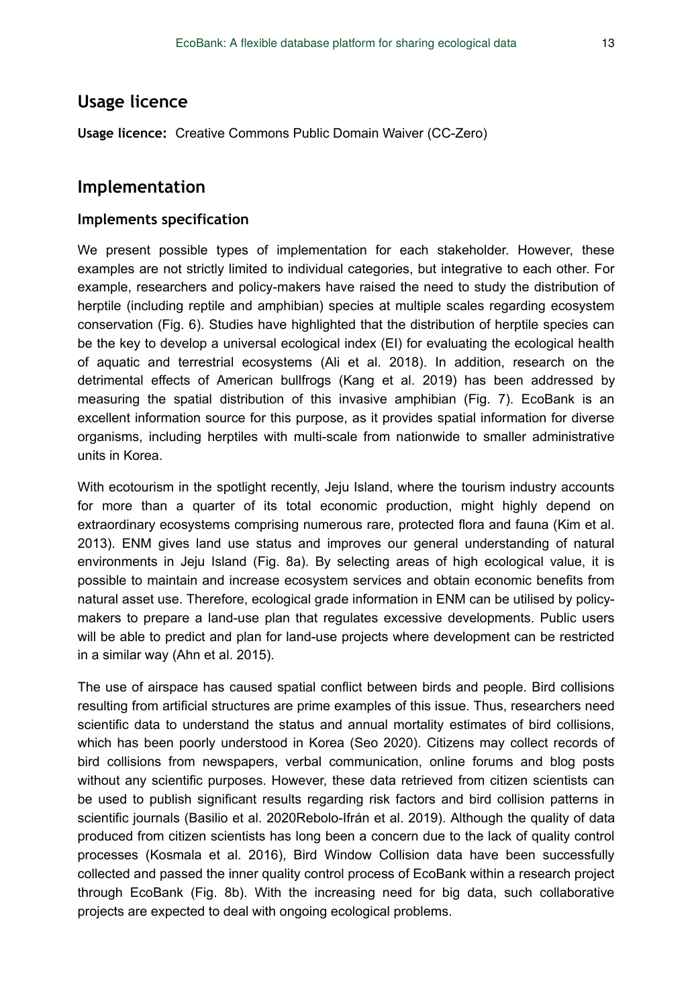# **Usage licence**

**Usage licence:** Creative Commons Public Domain Waiver (CC-Zero)

## **Implementation**

#### **Implements specification**

We present possible types of implementation for each stakeholder. However, these examples are not strictly limited to individual categories, but integrative to each other. For example, researchers and policy-makers have raised the need to study the distribution of herptile (including reptile and amphibian) species at multiple scales regarding ecosystem conservation (Fig. 6). Studies have highlighted that the distribution of herptile species can be the key to develop a universal ecological index (EI) for evaluating the ecological health of aquatic and terrestrial ecosystems (Ali et al. 2018). In addition, research on the detrimental effects of American bullfrogs (Kang et al. 2019) has been addressed by measuring the spatial distribution of this invasive amphibian (Fig. 7). EcoBank is an excellent information source for this purpose, as it provides spatial information for diverse organisms, including herptiles with multi-scale from nationwide to smaller administrative units in Korea.

With ecotourism in the spotlight recently, Jeju Island, where the tourism industry accounts for more than a quarter of its total economic production, might highly depend on extraordinary ecosystems comprising numerous rare, protected flora and fauna (Kim et al. 2013). ENM gives land use status and improves our general understanding of natural environments in Jeju Island (Fig. 8a). By selecting areas of high ecological value, it is possible to maintain and increase ecosystem services and obtain economic benefits from natural asset use. Therefore, ecological grade information in ENM can be utilised by policymakers to prepare a land-use plan that regulates excessive developments. Public users will be able to predict and plan for land-use projects where development can be restricted in a similar way (Ahn et al. 2015).

The use of airspace has caused spatial conflict between birds and people. Bird collisions resulting from artificial structures are prime examples of this issue. Thus, researchers need scientific data to understand the status and annual mortality estimates of bird collisions, which has been poorly understood in Korea (Seo 2020). Citizens may collect records of bird collisions from newspapers, verbal communication, online forums and blog posts without any scientific purposes. However, these data retrieved from citizen scientists can be used to publish significant results regarding risk factors and bird collision patterns in scientific journals (Basilio et al. 2020Rebolo-Ifrán et al. 2019). Although the quality of data produced from citizen scientists has long been a concern due to the lack of quality control processes (Kosmala et al. 2016), Bird Window Collision data have been successfully collected and passed the inner quality control process of EcoBank within a research project through EcoBank (Fig. 8b). With the increasing need for big data, such collaborative projects are expected to deal with ongoing ecological problems.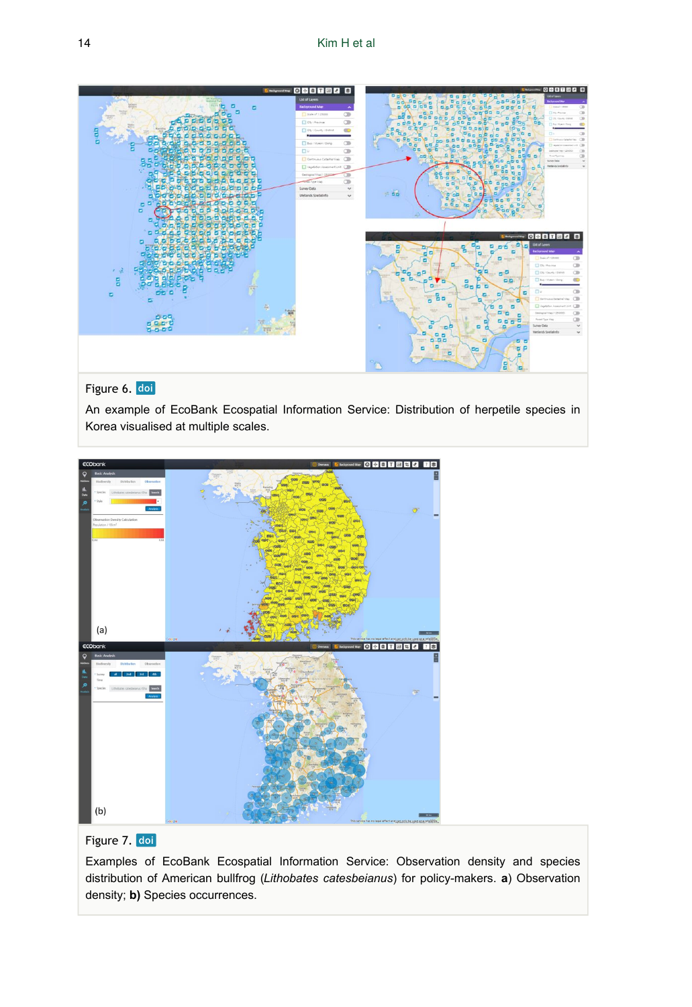

## Figure 6. doi

An example of EcoBank Ecospatial Information Service: Distribution of herpetile species in Korea visualised at multiple scales.



#### Figure 7. doi

Examples of EcoBank Ecospatial Information Service: Observation density and species distribution of American bullfrog (*Lithobates catesbeianus*) for policy-makers. **a**) Observation density; **b)** Species occurrences.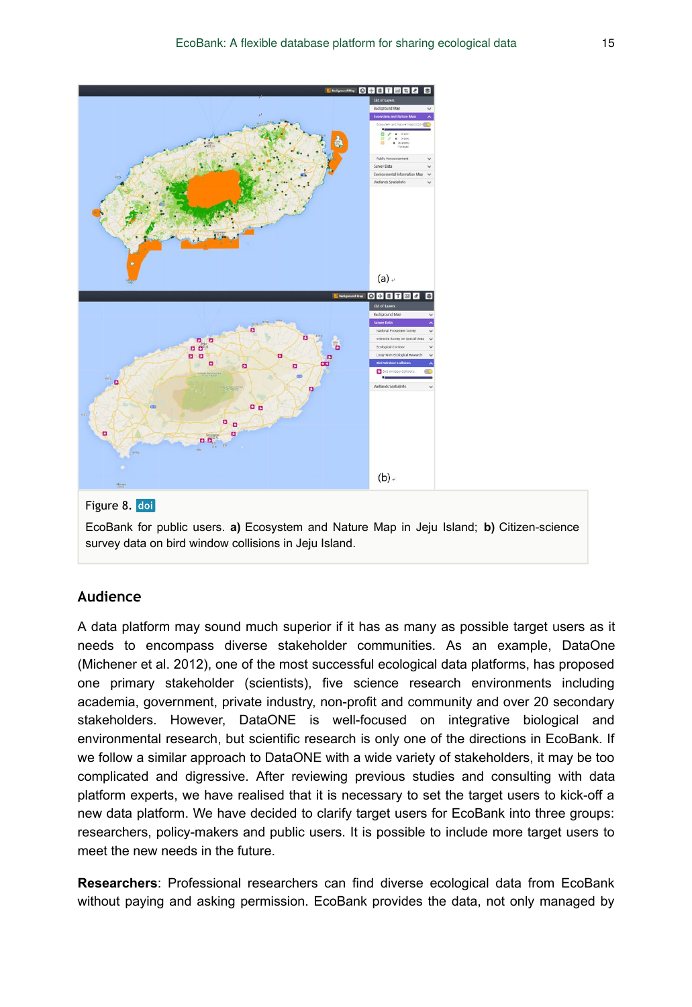

## **Audience**

A data platform may sound much superior if it has as many as possible target users as it needs to encompass diverse stakeholder communities. As an example, DataOne (Michener et al. 2012), one of the most successful ecological data platforms, has proposed one primary stakeholder (scientists), five science research environments including academia, government, private industry, non-profit and community and over 20 secondary stakeholders. However, DataONE is well-focused on integrative biological and environmental research, but scientific research is only one of the directions in EcoBank. If we follow a similar approach to DataONE with a wide variety of stakeholders, it may be too complicated and digressive. After reviewing previous studies and consulting with data platform experts, we have realised that it is necessary to set the target users to kick-off a new data platform. We have decided to clarify target users for EcoBank into three groups: researchers, policy-makers and public users. It is possible to include more target users to meet the new needs in the future.

**Researchers**: Professional researchers can find diverse ecological data from EcoBank without paying and asking permission. EcoBank provides the data, not only managed by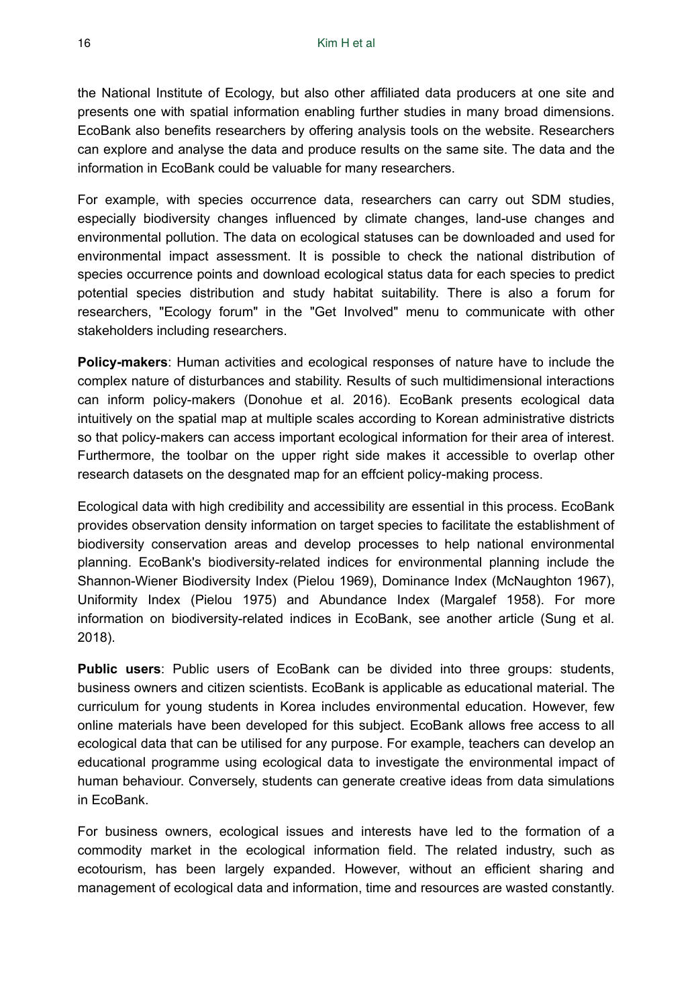the National Institute of Ecology, but also other affiliated data producers at one site and presents one with spatial information enabling further studies in many broad dimensions. EcoBank also benefits researchers by offering analysis tools on the website. Researchers can explore and analyse the data and produce results on the same site. The data and the information in EcoBank could be valuable for many researchers.

For example, with species occurrence data, researchers can carry out SDM studies, especially biodiversity changes influenced by climate changes, land-use changes and environmental pollution. The data on ecological statuses can be downloaded and used for environmental impact assessment. It is possible to check the national distribution of species occurrence points and download ecological status data for each species to predict potential species distribution and study habitat suitability. There is also a forum for researchers, "Ecology forum" in the "Get Involved" menu to communicate with other stakeholders including researchers.

**Policy-makers**: Human activities and ecological responses of nature have to include the complex nature of disturbances and stability. Results of such multidimensional interactions can inform policy-makers (Donohue et al. 2016). EcoBank presents ecological data intuitively on the spatial map at multiple scales according to Korean administrative districts so that policy-makers can access important ecological information for their area of interest. Furthermore, the toolbar on the upper right side makes it accessible to overlap other research datasets on the desgnated map for an effcient policy-making process.

Ecological data with high credibility and accessibility are essential in this process. EcoBank provides observation density information on target species to facilitate the establishment of biodiversity conservation areas and develop processes to help national environmental planning. EcoBank's biodiversity-related indices for environmental planning include the Shannon-Wiener Biodiversity Index (Pielou 1969), Dominance Index (McNaughton 1967), Uniformity Index (Pielou 1975) and Abundance Index (Margalef 1958). For more information on biodiversity-related indices in EcoBank, see another article (Sung et al. 2018).

**Public users**: Public users of EcoBank can be divided into three groups: students, business owners and citizen scientists. EcoBank is applicable as educational material. The curriculum for young students in Korea includes environmental education. However, few online materials have been developed for this subject. EcoBank allows free access to all ecological data that can be utilised for any purpose. For example, teachers can develop an educational programme using ecological data to investigate the environmental impact of human behaviour. Conversely, students can generate creative ideas from data simulations in EcoBank.

For business owners, ecological issues and interests have led to the formation of a commodity market in the ecological information field. The related industry, such as ecotourism, has been largely expanded. However, without an efficient sharing and management of ecological data and information, time and resources are wasted constantly.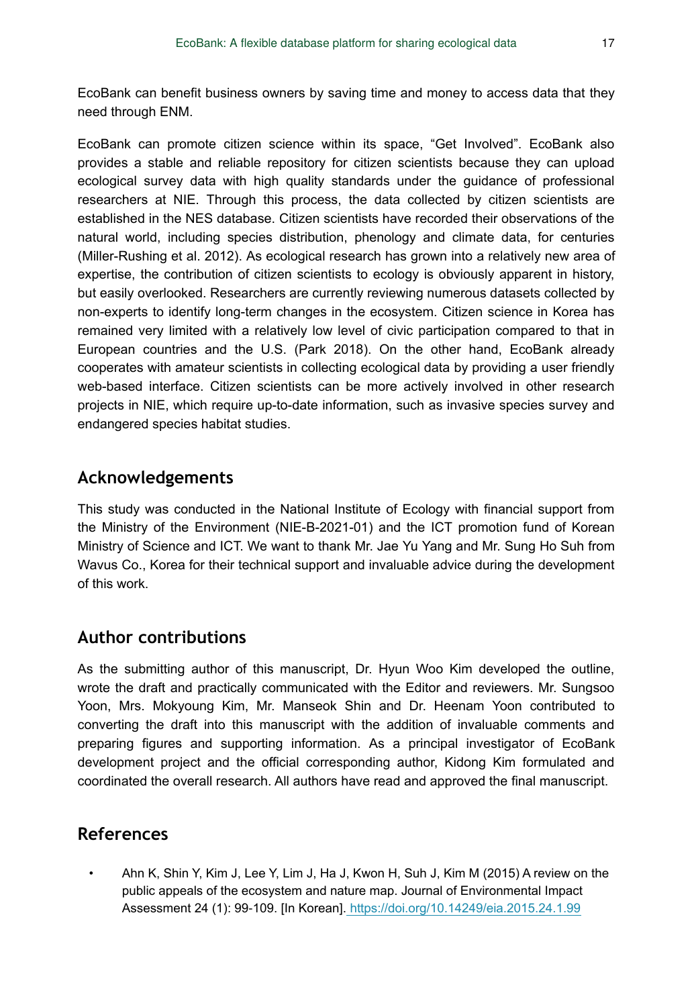EcoBank can benefit business owners by saving time and money to access data that they need through ENM.

EcoBank can promote citizen science within its space, "Get Involved". EcoBank also provides a stable and reliable repository for citizen scientists because they can upload ecological survey data with high quality standards under the guidance of professional researchers at NIE. Through this process, the data collected by citizen scientists are established in the NES database. Citizen scientists have recorded their observations of the natural world, including species distribution, phenology and climate data, for centuries (Miller-Rushing et al. 2012). As ecological research has grown into a relatively new area of expertise, the contribution of citizen scientists to ecology is obviously apparent in history, but easily overlooked. Researchers are currently reviewing numerous datasets collected by non-experts to identify long-term changes in the ecosystem. Citizen science in Korea has remained very limited with a relatively low level of civic participation compared to that in European countries and the U.S. (Park 2018). On the other hand, EcoBank already cooperates with amateur scientists in collecting ecological data by providing a user friendly web-based interface. Citizen scientists can be more actively involved in other research projects in NIE, which require up-to-date information, such as invasive species survey and endangered species habitat studies.

# **Acknowledgements**

This study was conducted in the National Institute of Ecology with financial support from the Ministry of the Environment (NIE-B-2021-01) and the ICT promotion fund of Korean Ministry of Science and ICT. We want to thank Mr. Jae Yu Yang and Mr. Sung Ho Suh from Wavus Co., Korea for their technical support and invaluable advice during the development of this work.

# **Author contributions**

As the submitting author of this manuscript, Dr. Hyun Woo Kim developed the outline, wrote the draft and practically communicated with the Editor and reviewers. Mr. Sungsoo Yoon, Mrs. Mokyoung Kim, Mr. Manseok Shin and Dr. Heenam Yoon contributed to converting the draft into this manuscript with the addition of invaluable comments and preparing figures and supporting information. As a principal investigator of EcoBank development project and the official corresponding author, Kidong Kim formulated and coordinated the overall research. All authors have read and approved the final manuscript.

# **References**

• Ahn K, Shin Y, Kim J, Lee Y, Lim J, Ha J, Kwon H, Suh J, Kim M (2015) A review on the public appeals of the ecosystem and nature map. Journal of Environmental Impact Assessment 24 (1): 99‑109. [In Korean].<https://doi.org/10.14249/eia.2015.24.1.99>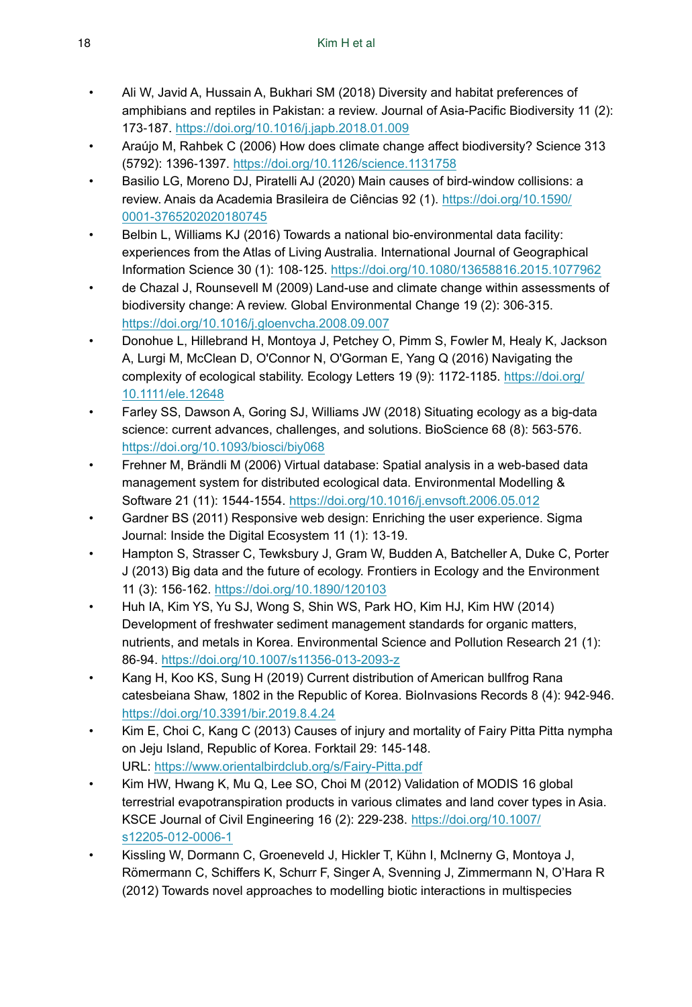- Ali W, Javid A, Hussain A, Bukhari SM (2018) Diversity and habitat preferences of amphibians and reptiles in Pakistan: a review. Journal of Asia-Pacific Biodiversity 11 (2): 173‑187. <https://doi.org/10.1016/j.japb.2018.01.009>
- Araújo M, Rahbek C (2006) How does climate change affect biodiversity? Science 313 (5792): 1396‑1397. <https://doi.org/10.1126/science.1131758>
- Basilio LG, Moreno DJ, Piratelli AJ (2020) Main causes of bird-window collisions: a review. Anais da Academia Brasileira de Ciências 92 (1). [https://doi.org/10.1590/](https://doi.org/10.1590/0001-3765202020180745) [0001-3765202020180745](https://doi.org/10.1590/0001-3765202020180745)
- Belbin L, Williams KJ (2016) Towards a national bio-environmental data facility: experiences from the Atlas of Living Australia. International Journal of Geographical Information Science 30 (1): 108‑125. <https://doi.org/10.1080/13658816.2015.1077962>
- de Chazal J, Rounsevell M (2009) Land-use and climate change within assessments of biodiversity change: A review. Global Environmental Change 19 (2): 306‑315. <https://doi.org/10.1016/j.gloenvcha.2008.09.007>
- Donohue L, Hillebrand H, Montoya J, Petchey O, Pimm S, Fowler M, Healy K, Jackson A, Lurgi M, McClean D, O'Connor N, O'Gorman E, Yang Q (2016) Navigating the complexity of ecological stability. Ecology Letters 19 (9): 1172-1185. [https://doi.org/](https://doi.org/10.1111/ele.12648) [10.1111/ele.12648](https://doi.org/10.1111/ele.12648)
- Farley SS, Dawson A, Goring SJ, Williams JW (2018) Situating ecology as a big-data science: current advances, challenges, and solutions. BioScience 68 (8): 563-576. <https://doi.org/10.1093/biosci/biy068>
- Frehner M, Brändli M (2006) Virtual database: Spatial analysis in a web-based data management system for distributed ecological data. Environmental Modelling & Software 21 (11): 1544‑1554.<https://doi.org/10.1016/j.envsoft.2006.05.012>
- Gardner BS (2011) Responsive web design: Enriching the user experience. Sigma Journal: Inside the Digital Ecosystem 11 (1): 13‑19.
- Hampton S, Strasser C, Tewksbury J, Gram W, Budden A, Batcheller A, Duke C, Porter J (2013) Big data and the future of ecology. Frontiers in Ecology and the Environment 11 (3): 156‑162. <https://doi.org/10.1890/120103>
- Huh IA, Kim YS, Yu SJ, Wong S, Shin WS, Park HO, Kim HJ, Kim HW (2014) Development of freshwater sediment management standards for organic matters, nutrients, and metals in Korea. Environmental Science and Pollution Research 21 (1): 86‑94.<https://doi.org/10.1007/s11356-013-2093-z>
- Kang H, Koo KS, Sung H (2019) Current distribution of American bullfrog Rana catesbeiana Shaw, 1802 in the Republic of Korea. BioInvasions Records 8 (4): 942‑946. <https://doi.org/10.3391/bir.2019.8.4.24>
- Kim E, Choi C, Kang C (2013) Causes of injury and mortality of Fairy Pitta Pitta nympha on Jeju Island, Republic of Korea. Forktail 29: 145-148. URL:<https://www.orientalbirdclub.org/s/Fairy-Pitta.pdf>
- Kim HW, Hwang K, Mu Q, Lee SO, Choi M (2012) Validation of MODIS 16 global terrestrial evapotranspiration products in various climates and land cover types in Asia. KSCE Journal of Civil Engineering 16 (2): 229‑238. [https://doi.org/10.1007/](https://doi.org/10.1007/s12205-012-0006-1) [s12205-012-0006-1](https://doi.org/10.1007/s12205-012-0006-1)
- Kissling W, Dormann C, Groeneveld J, Hickler T, Kühn I, McInerny G, Montoya J, Römermann C, Schiffers K, Schurr F, Singer A, Svenning J, Zimmermann N, O'Hara R (2012) Towards novel approaches to modelling biotic interactions in multispecies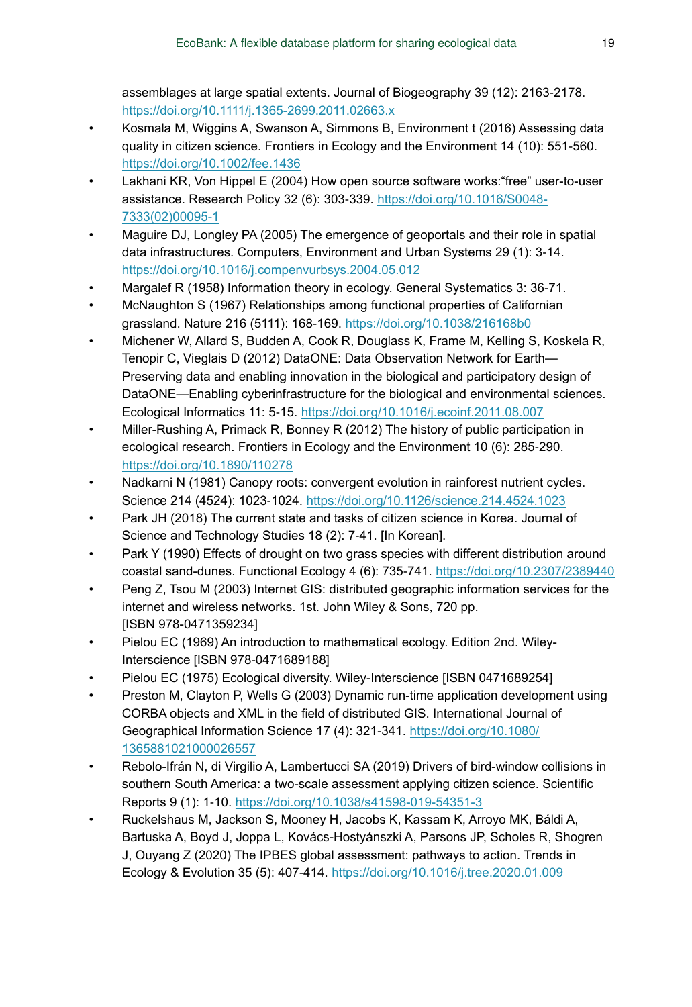assemblages at large spatial extents. Journal of Biogeography 39 (12): 2163‑2178. <https://doi.org/10.1111/j.1365-2699.2011.02663.x>

- Kosmala M, Wiggins A, Swanson A, Simmons B, Environment t (2016) Assessing data quality in citizen science. Frontiers in Ecology and the Environment 14 (10): 551-560. <https://doi.org/10.1002/fee.1436>
- Lakhani KR, Von Hippel E (2004) How open source software works:"free" user-to-user assistance. Research Policy 32 (6): 303‑339. [https://doi.org/10.1016/S0048-](https://doi.org/10.1016/S0048-7333(02)00095-1) [7333\(02\)00095-1](https://doi.org/10.1016/S0048-7333(02)00095-1)
- Maguire DJ, Longley PA (2005) The emergence of geoportals and their role in spatial data infrastructures. Computers, Environment and Urban Systems 29 (1): 3‑14. <https://doi.org/10.1016/j.compenvurbsys.2004.05.012>
- Margalef R (1958) Information theory in ecology. General Systematics 3: 36‑71.
- McNaughton S (1967) Relationships among functional properties of Californian grassland. Nature 216 (5111): 168-169.<https://doi.org/10.1038/216168b0>
- Michener W, Allard S, Budden A, Cook R, Douglass K, Frame M, Kelling S, Koskela R, Tenopir C, Vieglais D (2012) DataONE: Data Observation Network for Earth— Preserving data and enabling innovation in the biological and participatory design of DataONE—Enabling cyberinfrastructure for the biological and environmental sciences. Ecological Informatics 11: 5‑15.<https://doi.org/10.1016/j.ecoinf.2011.08.007>
- Miller-Rushing A, Primack R, Bonney R (2012) The history of public participation in ecological research. Frontiers in Ecology and the Environment 10 (6): 285‑290. <https://doi.org/10.1890/110278>
- Nadkarni N (1981) Canopy roots: convergent evolution in rainforest nutrient cycles. Science 214 (4524): 1023‑1024. <https://doi.org/10.1126/science.214.4524.1023>
- Park JH (2018) The current state and tasks of citizen science in Korea. Journal of Science and Technology Studies 18 (2): 7‑41. [In Korean].
- Park Y (1990) Effects of drought on two grass species with different distribution around coastal sand-dunes. Functional Ecology 4 (6): 735‑741.<https://doi.org/10.2307/2389440>
- Peng Z, Tsou M (2003) Internet GIS: distributed geographic information services for the internet and wireless networks. 1st. John Wiley & Sons, 720 pp. [ISBN 978-0471359234]
- Pielou EC (1969) An introduction to mathematical ecology. Edition 2nd. Wiley-Interscience [ISBN 978-0471689188]
- Pielou EC (1975) Ecological diversity. Wiley-Interscience [ISBN 0471689254]
- Preston M, Clayton P, Wells G (2003) Dynamic run-time application development using CORBA objects and XML in the field of distributed GIS. International Journal of Geographical Information Science 17 (4): 321‑341. [https://doi.org/10.1080/](https://doi.org/10.1080/1365881021000026557) [1365881021000026557](https://doi.org/10.1080/1365881021000026557)
- Rebolo-Ifrán N, di Virgilio A, Lambertucci SA (2019) Drivers of bird-window collisions in southern South America: a two-scale assessment applying citizen science. Scientific Reports 9 (1): 1‑10. <https://doi.org/10.1038/s41598-019-54351-3>
- Ruckelshaus M, Jackson S, Mooney H, Jacobs K, Kassam K, Arroyo MK, Báldi A, Bartuska A, Boyd J, Joppa L, Kovács-Hostyánszki A, Parsons JP, Scholes R, Shogren J, Ouyang Z (2020) The IPBES global assessment: pathways to action. Trends in Ecology & Evolution 35 (5): 407‑414. <https://doi.org/10.1016/j.tree.2020.01.009>